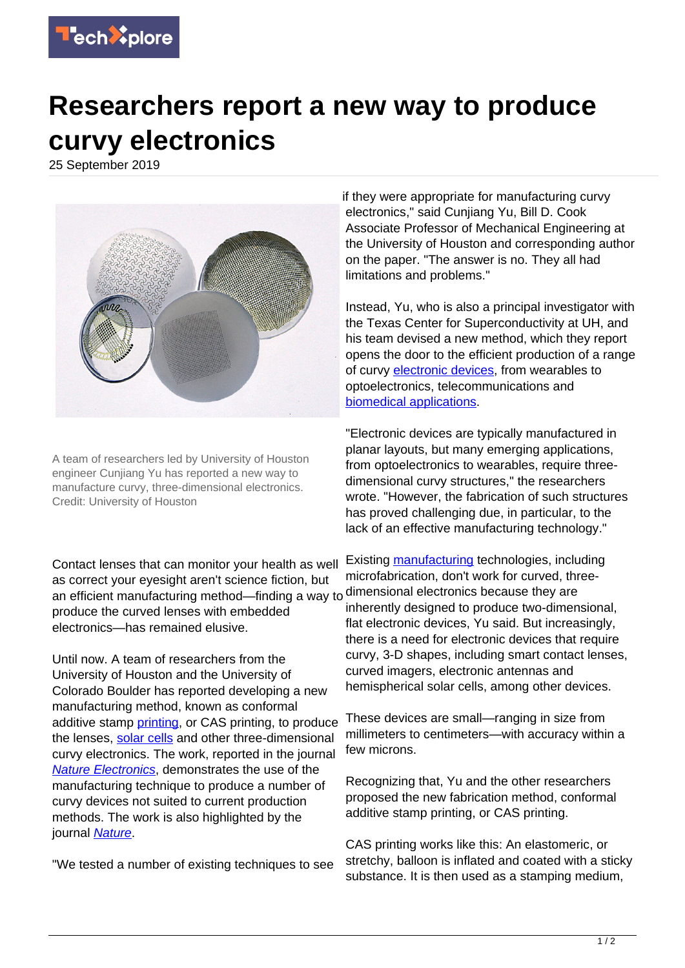

## **Researchers report a new way to produce curvy electronics**

25 September 2019



A team of researchers led by University of Houston engineer Cunjiang Yu has reported a new way to manufacture curvy, three-dimensional electronics. Credit: University of Houston

Contact lenses that can monitor your health as well as correct your eyesight aren't science fiction, but an efficient manufacturing method—finding a way to produce the curved lenses with embedded electronics—has remained elusive.

Until now. A team of researchers from the University of Houston and the University of Colorado Boulder has reported developing a new manufacturing method, known as conformal additive stamp [printing](https://techxplore.com/tags/printing/), or CAS printing, to produce the lenses, [solar cells](https://techxplore.com/tags/solar+cells/) and other three-dimensional curvy electronics. The work, reported in the journal **[Nature Electronics](https://www.nature.com/articles/s41928-019-0304-4)**, demonstrates the use of the manufacturing technique to produce a number of curvy devices not suited to current production methods. The work is also highlighted by the journal [Nature](https://www.nature.com/articles/d41586-019-02877-x).

"We tested a number of existing techniques to see

if they were appropriate for manufacturing curvy electronics," said Cunjiang Yu, Bill D. Cook Associate Professor of Mechanical Engineering at the University of Houston and corresponding author on the paper. "The answer is no. They all had limitations and problems."

Instead, Yu, who is also a principal investigator with the Texas Center for Superconductivity at UH, and his team devised a new method, which they report opens the door to the efficient production of a range of curvy [electronic devices](https://techxplore.com/tags/electronic+devices/), from wearables to optoelectronics, telecommunications and [biomedical applications](https://techxplore.com/tags/biomedical+applications/).

"Electronic devices are typically manufactured in planar layouts, but many emerging applications, from optoelectronics to wearables, require threedimensional curvy structures," the researchers wrote. "However, the fabrication of such structures has proved challenging due, in particular, to the lack of an effective manufacturing technology."

Existing [manufacturing](https://techxplore.com/tags/manufacturing/) technologies, including microfabrication, don't work for curved, threedimensional electronics because they are inherently designed to produce two-dimensional, flat electronic devices, Yu said. But increasingly, there is a need for electronic devices that require curvy, 3-D shapes, including smart contact lenses, curved imagers, electronic antennas and hemispherical solar cells, among other devices.

These devices are small—ranging in size from millimeters to centimeters—with accuracy within a few microns.

Recognizing that, Yu and the other researchers proposed the new fabrication method, conformal additive stamp printing, or CAS printing.

CAS printing works like this: An elastomeric, or stretchy, balloon is inflated and coated with a sticky substance. It is then used as a stamping medium,